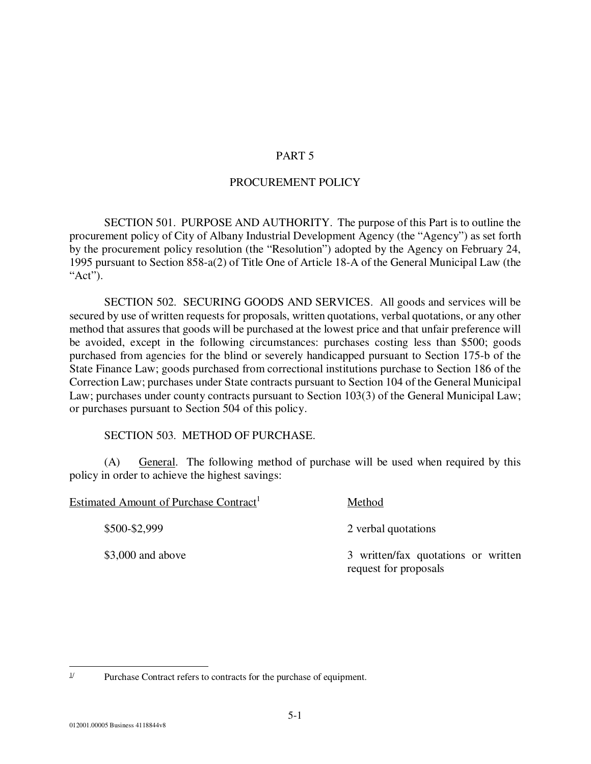## PART 5

## PROCUREMENT POLICY

 SECTION 501. PURPOSE AND AUTHORITY. The purpose of this Part is to outline the procurement policy of City of Albany Industrial Development Agency (the "Agency") as set forth by the procurement policy resolution (the "Resolution") adopted by the Agency on February 24, 1995 pursuant to Section 858-a(2) of Title One of Article 18-A of the General Municipal Law (the "Act").

 SECTION 502. SECURING GOODS AND SERVICES. All goods and services will be secured by use of written requests for proposals, written quotations, verbal quotations, or any other method that assures that goods will be purchased at the lowest price and that unfair preference will be avoided, except in the following circumstances: purchases costing less than \$500; goods purchased from agencies for the blind or severely handicapped pursuant to Section 175-b of the State Finance Law; goods purchased from correctional institutions purchase to Section 186 of the Correction Law; purchases under State contracts pursuant to Section 104 of the General Municipal Law; purchases under county contracts pursuant to Section 103(3) of the General Municipal Law; or purchases pursuant to Section 504 of this policy.

## SECTION 503. METHOD OF PURCHASE.

(A) General. The following method of purchase will be used when required by this policy in order to achieve the highest savings:

| Estimated Amount of Purchase Contract <sup>1</sup> | Method                                                       |
|----------------------------------------------------|--------------------------------------------------------------|
| \$500-\$2,999                                      | 2 verbal quotations                                          |
| $$3,000$ and above                                 | 3 written/fax quotations or written<br>request for proposals |

<sup>-</sup><sup> $1/$ </sup> Purchase Contract refers to contracts for the purchase of equipment.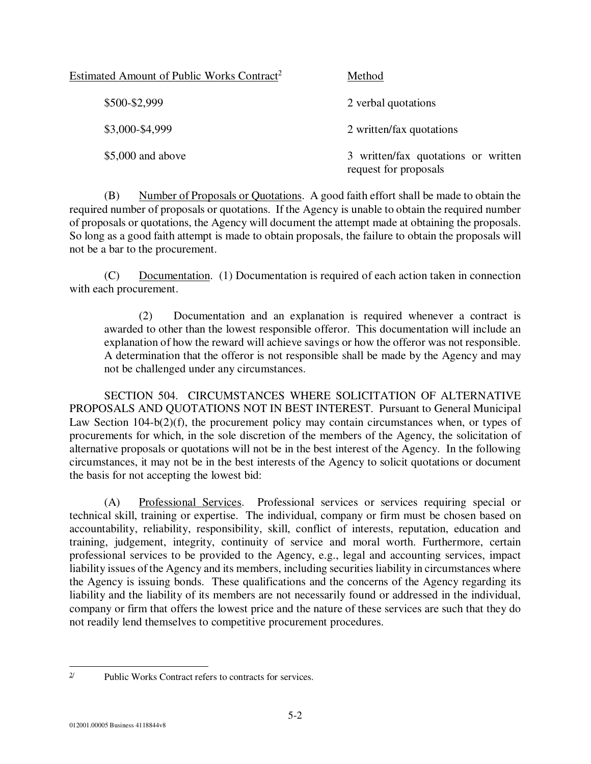| Estimated Amount of Public Works Contract <sup>2</sup> | Method                                                       |
|--------------------------------------------------------|--------------------------------------------------------------|
| \$500-\$2,999                                          | 2 verbal quotations                                          |
| \$3,000-\$4,999                                        | 2 written/fax quotations                                     |
| $$5,000$ and above                                     | 3 written/fax quotations or written<br>request for proposals |

(B) Number of Proposals or Quotations. A good faith effort shall be made to obtain the required number of proposals or quotations. If the Agency is unable to obtain the required number of proposals or quotations, the Agency will document the attempt made at obtaining the proposals. So long as a good faith attempt is made to obtain proposals, the failure to obtain the proposals will not be a bar to the procurement.

(C) Documentation. (1) Documentation is required of each action taken in connection with each procurement.

(2) Documentation and an explanation is required whenever a contract is awarded to other than the lowest responsible offeror. This documentation will include an explanation of how the reward will achieve savings or how the offeror was not responsible. A determination that the offeror is not responsible shall be made by the Agency and may not be challenged under any circumstances.

 SECTION 504. CIRCUMSTANCES WHERE SOLICITATION OF ALTERNATIVE PROPOSALS AND QUOTATIONS NOT IN BEST INTEREST. Pursuant to General Municipal Law Section 104-b(2)(f), the procurement policy may contain circumstances when, or types of procurements for which, in the sole discretion of the members of the Agency, the solicitation of alternative proposals or quotations will not be in the best interest of the Agency. In the following circumstances, it may not be in the best interests of the Agency to solicit quotations or document the basis for not accepting the lowest bid:

(A) Professional Services. Professional services or services requiring special or technical skill, training or expertise. The individual, company or firm must be chosen based on accountability, reliability, responsibility, skill, conflict of interests, reputation, education and training, judgement, integrity, continuity of service and moral worth. Furthermore, certain professional services to be provided to the Agency, e.g., legal and accounting services, impact liability issues of the Agency and its members, including securities liability in circumstances where the Agency is issuing bonds. These qualifications and the concerns of the Agency regarding its liability and the liability of its members are not necessarily found or addressed in the individual, company or firm that offers the lowest price and the nature of these services are such that they do not readily lend themselves to competitive procurement procedures.

 $2/$ Public Works Contract refers to contracts for services.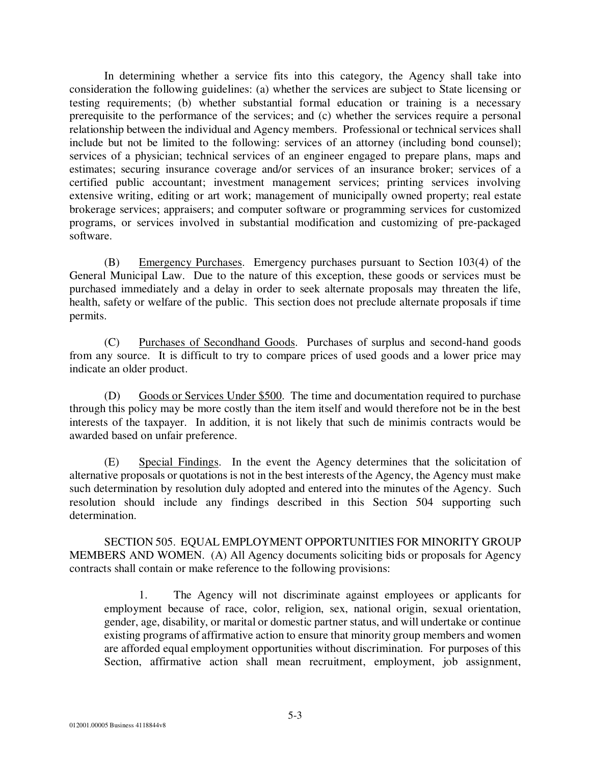In determining whether a service fits into this category, the Agency shall take into consideration the following guidelines: (a) whether the services are subject to State licensing or testing requirements; (b) whether substantial formal education or training is a necessary prerequisite to the performance of the services; and (c) whether the services require a personal relationship between the individual and Agency members. Professional or technical services shall include but not be limited to the following: services of an attorney (including bond counsel); services of a physician; technical services of an engineer engaged to prepare plans, maps and estimates; securing insurance coverage and/or services of an insurance broker; services of a certified public accountant; investment management services; printing services involving extensive writing, editing or art work; management of municipally owned property; real estate brokerage services; appraisers; and computer software or programming services for customized programs, or services involved in substantial modification and customizing of pre-packaged software.

(B) Emergency Purchases. Emergency purchases pursuant to Section 103(4) of the General Municipal Law. Due to the nature of this exception, these goods or services must be purchased immediately and a delay in order to seek alternate proposals may threaten the life, health, safety or welfare of the public. This section does not preclude alternate proposals if time permits.

(C) Purchases of Secondhand Goods. Purchases of surplus and second-hand goods from any source. It is difficult to try to compare prices of used goods and a lower price may indicate an older product.

(D) Goods or Services Under \$500. The time and documentation required to purchase through this policy may be more costly than the item itself and would therefore not be in the best interests of the taxpayer. In addition, it is not likely that such de minimis contracts would be awarded based on unfair preference.

(E) Special Findings. In the event the Agency determines that the solicitation of alternative proposals or quotations is not in the best interests of the Agency, the Agency must make such determination by resolution duly adopted and entered into the minutes of the Agency. Such resolution should include any findings described in this Section 504 supporting such determination.

 SECTION 505. EQUAL EMPLOYMENT OPPORTUNITIES FOR MINORITY GROUP MEMBERS AND WOMEN. (A) All Agency documents soliciting bids or proposals for Agency contracts shall contain or make reference to the following provisions:

1. The Agency will not discriminate against employees or applicants for employment because of race, color, religion, sex, national origin, sexual orientation, gender, age, disability, or marital or domestic partner status, and will undertake or continue existing programs of affirmative action to ensure that minority group members and women are afforded equal employment opportunities without discrimination. For purposes of this Section, affirmative action shall mean recruitment, employment, job assignment,